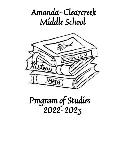# Amanda-Clearcreek Middle School



Program of Studies 2022-2023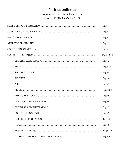# Visit us online at www.amanda.k12.oh.us **TABLE OF CONTENTS**

| Page 1     |
|------------|
| Page 1     |
| Page 1     |
| Page 1     |
| Page 1     |
| Pages 2-11 |
| Page 2     |
| Page 2-4   |
| Page 4     |
| Page 4-5   |
| Page 5     |
| Page 5-6   |
| Page 6     |
| Page 6-7   |
| Page 7     |
| Page 7     |
| Page 8     |
| Page 8     |
| Page 8-9   |
| Pages 9-11 |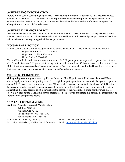### **SCHEDULING INFORMATION**

Before middle school scheduling begins, read the scheduling information letter that lists the required courses and the elective options. The Program of Studies provides all course descriptions to help determine your student's elective preference. Once your student has determined his/her elective preferences, complete the Google Form to submit his/her selections.

### **SCHEDULE CHANGE POLICY**

Any schedule change requests should be made within the first two weeks of school. The request needs to be made to the middle school guidance counselor and approved by the middle school principal. Parents/Guardians will also be contacted regarding schedule change requests.

### **HONOR ROLL POLICY**

Middle school students will be recognized for academic achievement if they meet the following criteria:

Highest Honor Roll — 4.0 or above

High Honor Roll - 3.50—3.99

Honor Roll -- 3.00—3.49

To earn Honor Roll, students must have a minimum of a 3.00 grade point average with no grades lower than a C. If a student earns a 3.00 grade point average with a grade lower than a C, he/she is not eligible for the Honor Roll. If a student is assigned an "Incomplete" grade, he/she is also not eligible for the Honor Roll. All courses that receive a letter grade are calculated into a student's grade point average.

## **ATHLETIC ELIGIBILITY**

**All beginning seventh graders** are eligible insofar as the Ohio High School Athletic Association (OHSAA) scholarship bylaw for the fall grading term. To be eligible to participate in our extra-curricular sports program, a student MUST have passed a minimum of four (4) one credit classes or the equivalent and have a 2.0 GPA for the preceding grading period. If a student is academically ineligible, he/she may not participate with the team anticipating that they become eligible throughout the season. If the student has a grade point average that is below a 2.0, then he/she is ineligible for the sports season. In order to participate in a season, the athlete must be eligible on the day practice begins.

### **CONTACT INFORMATION**

**Address**: Amanda-Clearcreek Middle School 328 East Main St. Amanda, OH 43102 Phone Number: (740) 969-7252 Fax Number: (740) 969-4764 Mrs. Stephanie Hedges, Secretary Email: shedges @amanda.k12.oh.us Ms. Lakyn McFarland, Middle School Counselor Email: Imcfarland@amanda.k12.oh.us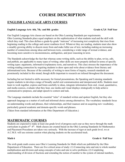# **COURSE DESCRIPTION**

# **ENGLISH LANGUAGE ARTS COURSES**

#### **English Language Arts 6th, 7th,, and 8th grades Grade 6,7,8 / Full Year**

Our English Language Arts classes are based on the Ohio Learning Standards per requirements. Ohio Learning Standards place equal emphasis on the sophistication of what students read and the skill with which they read. This class defines a grade-by-grade "staircase" of increasing text complexity that rises from beginning reading to the college and career readiness level. Whatever they are reading, students must also show a steadily growing ability to discern more from and make fuller use of text, including making an increasing number of connections among ideas and between texts, considering a wider range of textual evidence, and becoming more sensitive to inconsistencies, ambiguities, and poor reasoning in texts.

The Standards acknowledge the fact that whereas some writing skills, such as the ability to plan, revise, edit, and publish, are applicable to many types of writing; other skills are more properly defined in terms of specific writing types: arguments, informative/explanatory texts, and narratives. This class stresses the importance of the writing-reading connection by requiring students to draw upon and write about evidence from literary and informational texts. Because of the centrality of writing to most forms of inquiry, research standards are prominently included in this strand, though skills important to research are infused throughout the document.

Including but not limited to skills necessary for formal presentations, the Speaking and Listening standards require students to develop a range of broadly useful oral communication and interpersonal skills. Students must learn to work together, express and listen carefully to ideas, integrate information from oral, visual, quantitative, and media sources, evaluate what they hear, use media and visual displays strategically to help achieve communicative purposes, and adapt speech to context and task.

The Language standards include the essential "rules" of standard written and spoken English, but they also approach language as a matter of craft and informed choice among alternatives. The vocabulary standards focus on understanding words and phrases, their relationships, and their nuances and on acquiring new vocabulary, particularly general academic and domain-specific words and phrases.

(Taken from standard information at the Ohio Department of Education.)

# **MATHEMATIC COURSES**

Students are expected to make at least one grade level of progress each year as they move through the math curriculum in grades  $6<sup>th</sup> - 8<sup>th</sup>$ . Math classes are created based on the Ohio Learning Standards for Mathematics and Placement Procedures are taken very seriously. With the increase of rigor at each grade level, we at A.C.M.S. will use extreme caution when placing students on the accelerated track.

#### **Math 6 Grade 6 / Full Year**

The sixth grade math course uses Ohio's Learning Standards for Math which are published by the Ohio Department of Education. There are five critical areas of study: (1) Connecting ratio and rate to whole number multiplication and division and using concepts of ratio and rate to solve problems; (2) Completing understanding of division of fractions and extending the notion of number to the system of rational numbers,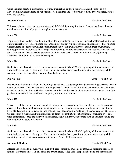which includes negative numbers; (3) Writing, interpreting, and using expressions and equations; (4) Developing an understanding of statistical problem solving; and (5) Solving problems involving area, surface area, and volume.

### **Advanced Math 6 Grade 6 / Full Year**

This course is an accelerated course that uses Ohio's Math Learning Standards. Students will participate in enrichment activities and projects throughout the school year.

### **Math 722 Grade 7 / Full Year**

The class will be smaller in numbers and allow for more intense intervention. Instructional time should focus on four critical areas: (1) developing understanding of and applying proportional relationships; (2) developing understanding of operations with rational numbers and working with expressions and linear equations; (3) solving problems involving scale drawings and informal geometric constructions, and working with two- and three-dimensional shapes to solve problems involving area, surface area, and volume; and (4) drawing inferences about populations based on samples**.**

### Students in this class will focus on the same areas covered in Math 722 while gaining additional content and more in depth analysis of the topics. This course demands a faster pace for instruction and learning while remaining consistent with Ohio Learning Standards for math.

**Math 724 Grade 7 / Full Year**

Pre-Algebra is offered to all qualifying 7th grade students. Students go through a screening process to identify algebra readiness. This class moves at a rapid pace as it covers 7th and 8th grade standards in one school year as well as an introduction to Algebra. Students enrolled in this class in 7th grade will take Algebra I as an 8th grade student and will be considered one year grade advanced in math.

### **Math 822 Grade 8 / Full Year**

This class will be smaller in numbers and allow for more on instructional time should focus on three critical areas: (1) formulating and reasoning about expressions and equations, including modeling an association in bivariate data with a linear equation, and solving linear equations and systems of linear equations; (2) grasping the concept of a function and using functions to describe quantitative relationships; (3) analyzing two- and three-dimensional space and figures using distance, angle, similarity, and congruence, and understanding and applying the Pythagorean Theorem.

Students in this class will focus on the same areas covered in Math 822 while gaining additional content and more in depth analysis of the topics. This course demands a faster pace for instruction and learning while remaining consistent with common core standards. Fees: \$15 for calculator

### **Advanced Algebra I Grade 8/ Full Year**

Algebra I is offered to all qualifying 7th and 8th grade students. Students go through a screening process to identify algebra readiness. In this class, the critical areas, called units, deepen and extend understanding of

# **Pre-Algebra Grade 7 / Full Year**

### **Math 824 Grade 8 / Full Year**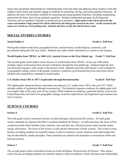linear and exponential relationships by contrasting them with each other and applying linear models to data that exhibit a linear trend, and students engage in methods for analyzing, solving, and using quadratic functions. In addition, the units will introduce methods for analyzing and using quadratic functions, including manipulating expressions for them, and solving quadratic equations. Students understand and apply the Pythagorean Theorem, and use quadratic functions to model and solve problems. **High school credit will be given for this** course and student's high school GPA will be affected by the final grade earned in the class. Grades earned in this **course are scored on a 4.25 grading scale. Students also have to take the end-of-course exam.**

# **SOCIAL STUDIES COURSES**

Sixth grade students study basic geographical terms, ancient history, world religions, economics, and government during this full year course. Students also utilize Junior Scholastic as a current event resource.

#### **World Studies from 750 B.C. to 1600 A.D.: Ancient Greece to the First Global Age Grade 7 / Full Year**

The seventh grade social studies course focuses on world studies from 750 B.C. to the year 1600 which includes/ topics of discussion from ancient civilizations through the first global age. Students begin the four year historical sequence with a study of the ancient world. Students learn that each historic event is shaped by its geographic setting, culture of the people, economic conditions, governmental decisions and citizen action. Students also expand their command of social studies.

#### **U.S. Studies from 1492 to 1877: Exploration through Reconstruction Grade 8 / Full Year**

The eighth grade American history curriculum encompasses U.S. studies from 1492 to the year 1877 which includes studies of exploration through reconstruction. The historical sequence continues for eighth grade with an in-depth study of the early years of our country. While students are studying a particular historic event in the United States they also look at its geographic settings, economic implications, developments in government and role of citizens.

# **SCIENCE COURSES**

The sixth grade science curriculum focuses on earth and space, physical and life science. All sixth grade science standards are aligned with Ohio's Learning Standards for Science. In earth and space, the focus will be on physical earth which includes rocks, minerals, soils and their uses. Physical science topics include matter, energy, and motion. The focus of life science is cells and the interactions of body systems. This science course focuses on helping students use scientific inquiry to discover patterns, trends, structures and relationships that may be described by simple principles. These principles are related to the properties or interactions within and between systems.

#### **Science 7 Grade 7 / Full Year**

The seventh grade science curriculum focuses on Earth and Space, Physical and Life Science. This science course focuses on helping students use scientific inquiry to discover patterns, trends, structures and relationships

#### **Science 6 Grade 6 / Full Year**

### **Social Studies 6 Grade 6 / Full Year**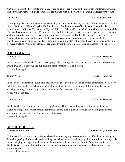that may be described by simple principles. These principles are related to the properties or interactions within and between systems. All grade 7 standards are aligned with the new Ohio's Learning Standards for Science.

The eighth grade science is a deeper understanding of Earth and Space, Physical and Life Sciences. In Earth and Space, the focus will be on Physical Earth which includes the formation of Earth, its rock records, plate tectonics and landforms. The focus for Physical Science will be on Forces and Motion within, on and around the Earth and within the Universe. When we explore the Life Sciences we will tackle the concepts of cell division and how reproduction is necessary for the continuation of species on Earth. This science course focuses on helping students use scientific inquiry to discover patterns, trends, structures and relationships that may be described by simple principles. These principles are related to the properties or interactions within and between systems. All grade 8 standards are aligned with the new Ohio's Learning Standards for Science.

# **ART COURSES**

In this course, students will focus on developing and expanding art skills, vocabulary, creativity, and concepts starting with basic drawing and building into more complex ideas and design. \*Fees will be applied.

### **Studio Art 7 Grade 7 / Semester**

In this course, students will build upon their knowledge of two-dimensional and three-dimensional works of art while exploring different techniques and mediums. Students will use a variety of different media such as drawing, painting, printmaking, collage, abstract and functional ceramics and sculpture. \*Fees will be applied.

Students will create 3-dimensional art through history. This course will work on a timeline while using historical perspective to work through art findings dating back Egyptian carvings and working into current environmental awareness by utilizing recycled materials. \*Fees will be applied.

# **MUSIC COURSES**

This class is for middle school students who really enjoy singing. Recommended qualifications include good behavior, good grades in music, and a willingness to learn about choral singing. Students will be learning skills such as singing in 2-3 parts, and singing techniques that will be used to perform in front of an audience. Students will be required to perform on several occasions during the school year including some evening performances. \*Fees will be applied.

#### **Science 8 Grade 8** / Full Year

#### **Studio Art 6 Grade 6 / Semester**

### **Studio Art 8 Grade 8 / Semester**

### **Middle School Choir Grades 6, 7, 8 / Full Year**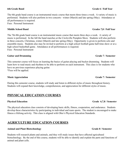#### **6th Grade Band Grade 6 / Full Year**

#### The 6th grade band course is an instrumental music course that meets three times a week. A variety of music is performed. Students will also perform in two concerts - winter (March) and late spring (May). Attendance at all performances is required. Fees: Personal Instrument

### **Middle School Band Grades 7,8 / Full Year**

The 7th-8th grade band course is an instrumental music course that meets three days a week. A variety of music is performed. In the fall the band marches at the Circleville Pumpkin Show. Students will also perform in three concerts, Christmas, winter (March) and late spring (May). Opportunity is given to perform solo and ensemble music. Students also may be invited to perform at a high school football game half-time show or at a high school basketball game. Attendance at all performances is required. Fees: Personal Instrument

### **Guitar and Drumming Grade 7 / Semester**

This semester course will focus on learning the basics of guitar playing and bucket drumming. Students will learn how to read music and rhythms to be able to perform on each instrument. This class is for students who have no previous experience playing guitar. \*Fees will be applied.

### **Music Appreciation Grade 7 / Semester**

During this semester course, students will study and listen to different styles of music throughout history. Students will expand their knowledge, comprehension, and appreciation for different styles of music.

# **PHYSICAL EDUCATION COURSES**

### **Physical Education Grade 6,7,8 / Semester**

The physical education class consists of developing basic skills, fitness, cooperation, and endurance. Students develop these characteristics by participating in individual and team sports. The student is encouraged to make fitness a lifelong activity. This class is aligned with Ohio's Physical Education Standards.

# **AGRICULTURE EDUCATION COURSES**

### **Animal and Plant Biotechnology Grade 8 / Semester**

Students will research plants and animals, and they will study issues that have affected agricultural biotechnology. By the end of this course, students will be able to identify and explain the parts and functions of animal and plant cells.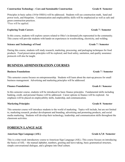### **Construction Technology - Core and Sustainable Construction <b>Grade 8 / Semester**

Principles in basic safety (10-hr OSHA) will be addressed. Students will use construction math, hand and power tools, and blueprints. Communication and employability skills will be emphasized as well as safe and green construction practices. \*Fees will be applied.

### **Exploring Trade Careers Grade 7 / Semester**

In this course, students will explore careers related to Ohio's in-demand jobs represented in the community. This course will provide students with hands-on experiences in woodworking, electricity, and welding.

#### **Science and Technology of Food Grade 7 / Semester**

During this course, students will study research, marketing, processing, and packaging techniques for food products. Food preservation principles will be explored, and food safety, sanitation, and quality assurance protocols will also be taught.

# **BUSINESS ADMINISTRATION COURSES**

#### **Business Foundations Grade 7 / Semester**

This semester course focuses on entrepreneurship. Students will learn about the start-up process for small business management. Advertising and marketing principles will be addressed.

### **Finance Foundations Grade 8 / Semester**

In this semester course, students will be introduced to basic finance principles. Fundamental skills including banking, credit, and personal finance will be addressed. Career options in finance will be explored. An emphasis will be placed on employability skills, leadership, and communication.

### **Marketing Principles Grade 8 / Semester**

This semester course will introduce students to the world of marketing. Topics will include, but are not limited to, marketing research, product development and branding, advertising and promoting products, and social media marketing. Students will develop their technology, leadership, and communication skills throughout the classroom activities.

# **FOREIGN LANGUAGE**

### **American Sign Language (ASL) Grade 6,7,8 / Semester**

This is a nine-week introductory course to American Sign Language (ASL). This course focuses on introducing the basics of ASL—the manual alphabet, numbers, greeting and leave-taking, basic grammatical structure, simple conversational dialogue, and a glimpse into Deaf culture.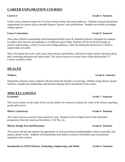# **CAREER EXPLORATION COURSES**

In this course, students explore the 16 career clusters along with career pathways. Students research educational requirements for careers such as possible degrees, licenses, and certifications. Students also briefly investigate college options.

#### **Career Connections Grade 8 / Semester**

This course offered in partnership with Eastland-Fairfield Career & Technical Schools is designed for students to explore their interests and aptitudes in 16 different career fields. Students will be involved in hands-on projects representing a variety of career and college pathways, while developing the framework in which to explore their own skills.

They will explore the work world, assess their interests and abilities, and learn to make realistic decisions about their continuing education and career goals. This course focuses on several career fields and provides 21<sup>st</sup> Century workforce skills.

# **HEALTH**

During this semester course, students will learn about the benefits of exercising. Healthy eating choices, proper nutrition, strength and conditioning, and decision-making will be introduced in this course.

# **MISCELLANEOUS**

#### **Economics Grade 7 / Semester**

This course centers on the study of how society utilizes its resources to please the wants of its citizens regarding goods and services.

### **History (American) Grade 6 / Semester**

This course focuses on stories from American's past. Students will investigate stories from individual perspectives from the American Revolution, Civil War, etc.

### **History though Text and Discussion Grade 8 / Semester**

This course will provide students the opportunity to read texts/articles/autobiographies, listen to speeches, and analyze artistic works. Students will demonstrate their ability to analyze information and communicate arguments with evidence.

**Introduction to STEM (Science, Technology, Engineering, and Math) Grade 6 / Semester**

#### **Careers 6 Grade 6 / Semester**

#### **Wellness Grade 8 / Semester**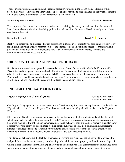This course focuses on challenging and engaging students' curiosity in the STEM field. Students will use problem-solving, teamwork, and innovation. Speros and probes will be used in hands-on activities as students obtain data during experiments. STEM careers will also be explored.

#### **Probability and Statistics Grade 8 / Semester**

The purpose of this course is to introduce students to probability, data analysis, and statistics. Students will learn from real-world situations involving probability and statistics. Students will collect, analyze, and draw conclusions from data.

Real-world topics will be explored through discussions in this course. Students will also gain perspectives by reading and analyzing articles, research studies, and literacy texts and listening to speeches, broadcasts, and personal accounts. Students will understand how to analyze information with accuracy to create and communicate evidence-based arguments.

# **CROSS-CATEGORICAL SPECIAL PROGRAMS**

Special education services are provided in accordance with Ohio's Operating Standards for Children with Disabilities and the Special Education Model Policies and Procedures. Students with a disability should be educated in the Least Restrictive Environment (L.R.E.) and according to their Individualized Education Program (I.E.P.) to address identified needs and services. The following cross-categorical classes are offered at A-C Middle School. Additional classes will be offered in an inclusion setting.

# **ENGLISH LANGUAGE ARTS COURSES**

### **English Language Arts 7th and 8th grades Grade 7 / Full Year**

Our English Language Arts classes are based on the Ohio Learning Standards per requirements. Students in the  $7<sup>th</sup>$  grade will be placed in the  $7<sup>th</sup>$  grade ELA class and students in the  $8<sup>th</sup>$  grade will be placed in the  $8<sup>th</sup>$  grade ELA class.

Ohio Learning Standards place equal emphasis on the sophistication of what students read and the skill with which they read. This class defines a grade-by-grade "staircase" of increasing text complexity that rises from beginning reading to the college and career readiness level. Whatever they are reading, students must also show a steadily growing ability to discern more from and make fuller use of text, including making an increasing number of connections among ideas and between texts, considering a wider range of textual evidence, and becoming more sensitive to inconsistencies, ambiguities, and poor reasoning in texts.

The Standards acknowledge the fact that whereas some writing skills, such as the ability to plan, revise, edit, and publish, are applicable to many types of writing; other skills are more properly defined in terms of specific writing types: arguments, informative/explanatory texts, and narratives. This class stresses the importance of the writing-reading connection by requiring students to draw upon and write about evidence from literary and

# **Grade 8 / Full Year**

#### Scientific Research **Grade 7, 8 / Semester**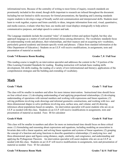informational texts. Because of the centrality of writing to most forms of inquiry, research standards are prominently included in this strand, though skills important to research are infused throughout the document. Including but not limited to skills necessary for formal presentations, the Speaking and Listening standards require students to develop a range of broadly useful oral communication and interpersonal skills. Students must learn to work together, express and listen carefully to ideas, integrate information from oral, visual, quantitative, and media sources, evaluate what they hear, use media and visual displays strategically to help achieve communicative purposes, and adapt speech to context and task.

The Language standards include the essential "rules" of standard written and spoken English, but they also approach language as a matter of craft and informed choice among alternatives. The vocabulary standards focus on understanding words and phrases, their relationships, and their nuances and on acquiring new vocabulary, particularly general academic and domain-specific words and phrases. (Taken from standard information at the Ohio Department of Education.) Students on an I.E.P. will receive modifications, in assignments, tests and presentation of material as needed.

#### **Grade 7-8 Resource Room Reading Grades 7, 8 / Full Year**

This reading course is taught by an intervention specialist and addresses the content in the 7-8 portion of the Ohio Learning Extended Standards for reading. Reading instruction will include basic reading skills development, life skills reading, the reading of a variety of text (informational and literary), applications of the comprehension strategies and the building and extending of vocabulary.

# **Math**

### **Grade 7 Math Grade 7 / Full Year**

The class will be smaller in numbers and allow for more intense intervention. Instructional time should focus on four critical areas: (1) developing understanding of and applying proportional relationships; (2) developing understanding of operations with rational numbers and working with expressions and linear equations; (3) solving problems involving scale drawings and informal geometric constructions, and working with two- and three-dimensional shapes to solve problems involving area, surface area, and volume; and (4) drawing inferences about populations based on samples**.** An intervention specialist will assist students who are on an I.E.P. as needed with this class. Students on an I.E.P. will receive modifications in assignments, tests and presentation of material as needed. Fees: \$8 for calculator

This class will be smaller in numbers and allow for more on instructional time should focus on three critical areas: (1) formulating and reasoning about expressions and equations, including modeling an association in bivariate data with a linear equation, and solving linear equations and systems of linear equations; (2) grasping the concept of a function and using functions to describe quantitative relationships; (3) analyzing two- and three-dimensional space and figures using distance, angle, similarity, and congruence, and understanding and applying the Pythagorean Theorem. An intervention specialist will assist students who are on an I.E.P. as needed with this class. Students on an I.E.P. will receive modifications in assignments, tests and presentation of material as needed. Fees: \$5 for calculator

#### **Grade 7-8 Resource Room Math Grades 7 & 8 / Full Year**

#### **Grade 8 Math Grade 8 / Full Year**